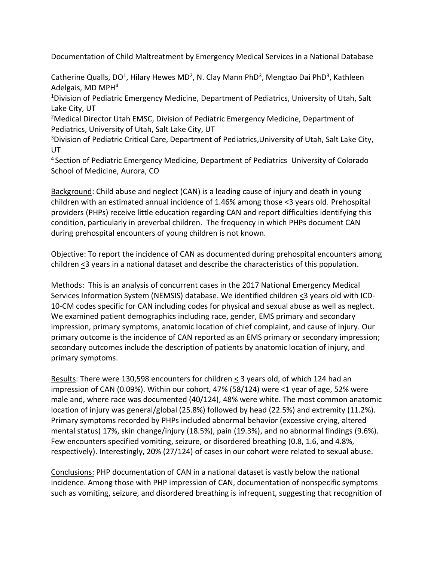Documentation of Child Maltreatment by Emergency Medical Services in a National Database

Catherine Qualls, DO<sup>1</sup>, Hilary Hewes MD<sup>2</sup>, N. Clay Mann PhD<sup>3</sup>, Mengtao Dai PhD<sup>3</sup>, Kathleen Adelgais, MD MPH<sup>4</sup>

<sup>1</sup>Division of Pediatric Emergency Medicine, Department of Pediatrics, University of Utah, Salt Lake City, UT

<sup>2</sup>Medical Director Utah EMSC, Division of Pediatric Emergency Medicine, Department of Pediatrics, University of Utah, Salt Lake City, UT

<sup>3</sup>Division of Pediatric Critical Care, Department of Pediatrics, University of Utah, Salt Lake City, UT

<sup>4</sup> Section of Pediatric Emergency Medicine, Department of Pediatrics University of Colorado School of Medicine, Aurora, CO

Background: Child abuse and neglect (CAN) is a leading cause of injury and death in young children with an estimated annual incidence of 1.46% among those <3 years old. Prehospital providers (PHPs) receive little education regarding CAN and report difficulties identifying this condition, particularly in preverbal children. The frequency in which PHPs document CAN during prehospital encounters of young children is not known.

Objective: To report the incidence of CAN as documented during prehospital encounters among children  $\leq$ 3 years in a national dataset and describe the characteristics of this population.

Methods: This is an analysis of concurrent cases in the 2017 National Emergency Medical Services Information System (NEMSIS) database. We identified children <3 years old with ICD-10-CM codes specific for CAN including codes for physical and sexual abuse as well as neglect. We examined patient demographics including race, gender, EMS primary and secondary impression, primary symptoms, anatomic location of chief complaint, and cause of injury. Our primary outcome is the incidence of CAN reported as an EMS primary or secondary impression; secondary outcomes include the description of patients by anatomic location of injury, and primary symptoms.

Results: There were 130,598 encounters for children < 3 years old, of which 124 had an impression of CAN (0.09%). Within our cohort, 47% (58/124) were <1 year of age, 52% were male and, where race was documented (40/124), 48% were white. The most common anatomic location of injury was general/global (25.8%) followed by head (22.5%) and extremity (11.2%). Primary symptoms recorded by PHPs included abnormal behavior (excessive crying, altered mental status) 17%, skin change/injury (18.5%), pain (19.3%), and no abnormal findings (9.6%). Few encounters specified vomiting, seizure, or disordered breathing (0.8, 1.6, and 4.8%, respectively). Interestingly, 20% (27/124) of cases in our cohort were related to sexual abuse.

Conclusions: PHP documentation of CAN in a national dataset is vastly below the national incidence. Among those with PHP impression of CAN, documentation of nonspecific symptoms such as vomiting, seizure, and disordered breathing is infrequent, suggesting that recognition of